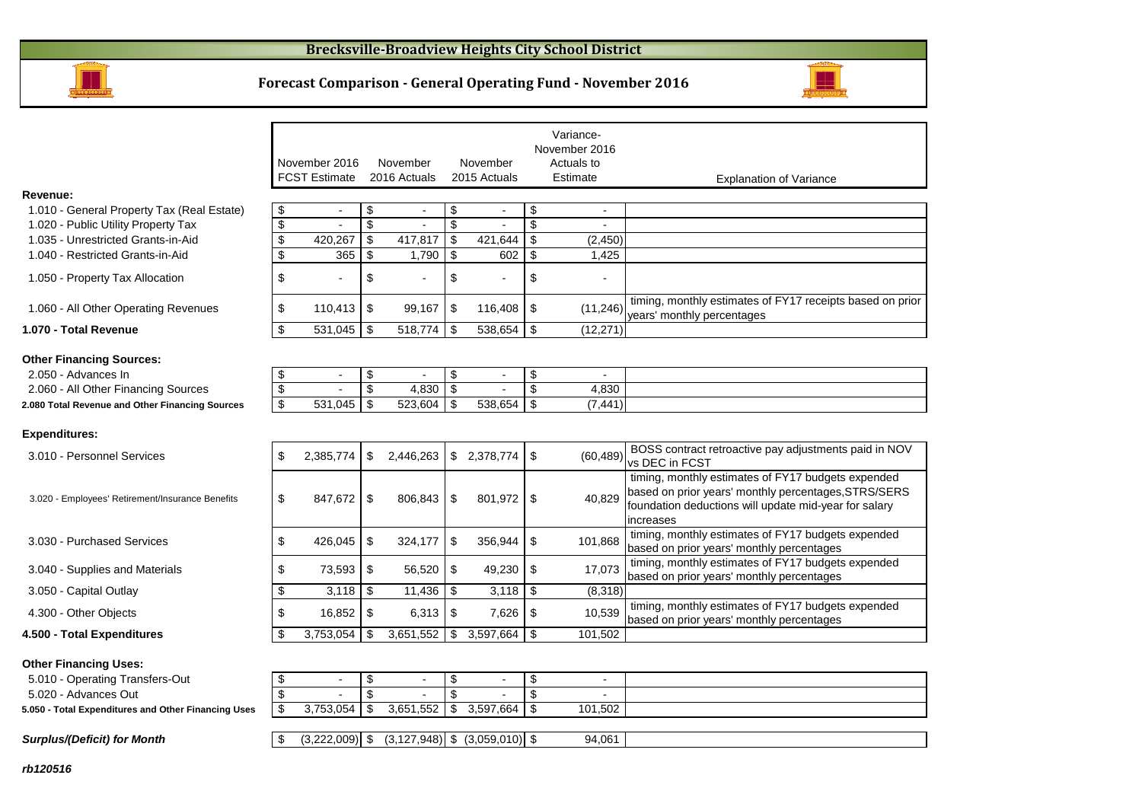

#### **Forecast Comparison - General Operating Fund - November 2016**



|                                                  |                 |                      |                                |                                | Variance-<br>November 2016 |                                                                                                                                                                                  |
|--------------------------------------------------|-----------------|----------------------|--------------------------------|--------------------------------|----------------------------|----------------------------------------------------------------------------------------------------------------------------------------------------------------------------------|
|                                                  |                 | November 2016        | November                       | November                       | Actuals to                 |                                                                                                                                                                                  |
|                                                  |                 | <b>FCST Estimate</b> | 2016 Actuals                   | 2015 Actuals                   | Estimate                   | <b>Explanation of Variance</b>                                                                                                                                                   |
| Revenue:                                         |                 |                      |                                |                                |                            |                                                                                                                                                                                  |
| 1.010 - General Property Tax (Real Estate)       | \$              | $\blacksquare$       | \$<br>$\overline{a}$           | \$<br>$\blacksquare$           | \$<br>$\overline{a}$       |                                                                                                                                                                                  |
| 1.020 - Public Utility Property Tax              | \$              |                      | \$                             | \$                             | \$                         |                                                                                                                                                                                  |
| 1.035 - Unrestricted Grants-in-Aid               | \$              | 420,267              | \$<br>417,817                  | \$<br>421,644                  | \$<br>(2,450)              |                                                                                                                                                                                  |
| 1.040 - Restricted Grants-in-Aid                 | \$              | 365                  | \$<br>1,790                    | \$<br>602                      | \$<br>1,425                |                                                                                                                                                                                  |
| 1.050 - Property Tax Allocation                  | \$              |                      | \$                             | \$                             | \$                         |                                                                                                                                                                                  |
| 1.060 - All Other Operating Revenues             | \$              | 110,413              | \$<br>99,167                   | \$<br>116,408                  | \$<br>(11, 246)            | timing, monthly estimates of FY17 receipts based on prior<br>years' monthly percentages                                                                                          |
| 1.070 - Total Revenue                            | \$              | 531,045              | \$<br>518,774                  | \$<br>538,654                  | \$<br>(12, 271)            |                                                                                                                                                                                  |
| <b>Other Financing Sources:</b>                  |                 |                      |                                |                                |                            |                                                                                                                                                                                  |
| 2.050 - Advances In                              | \$              | $\blacksquare$       | \$<br>$\overline{\phantom{a}}$ | \$<br>$\overline{\phantom{0}}$ | \$                         |                                                                                                                                                                                  |
| 2.060 - All Other Financing Sources              | $\overline{\$}$ |                      | \$<br>4,830                    | \$                             | \$<br>4,830                |                                                                                                                                                                                  |
| 2.080 Total Revenue and Other Financing Sources  | \$              | 531,045              | \$<br>523,604                  | \$<br>538,654                  | \$<br>(7, 441)             |                                                                                                                                                                                  |
| <b>Expenditures:</b>                             |                 |                      |                                |                                |                            |                                                                                                                                                                                  |
| 3.010 - Personnel Services                       | \$              | 2,385,774            | \$<br>2,446,263                | \$2,378,774                    | \$<br>(60, 489)            | BOSS contract retroactive pay adjustments paid in NOV<br>vs DEC in FCST                                                                                                          |
| 3.020 - Employees' Retirement/Insurance Benefits | \$              | 847,672              | \$<br>806,843                  | \$<br>801.972                  | \$<br>40.829               | timing, monthly estimates of FY17 budgets expended<br>based on prior years' monthly percentages, STRS/SERS<br>foundation deductions will update mid-year for salary<br>increases |
| 3.030 - Purchased Services                       | \$              | 426,045              | \$<br>324,177                  | \$<br>356,944                  | \$<br>101,868              | timing, monthly estimates of FY17 budgets expended<br>based on prior years' monthly percentages                                                                                  |
| 3.040 - Supplies and Materials                   | \$              | 73,593               | \$<br>56,520                   | \$<br>49,230                   | \$<br>17,073               | timing, monthly estimates of FY17 budgets expended<br>based on prior years' monthly percentages                                                                                  |
| 3.050 - Capital Outlay                           | \$              | 3,118                | \$<br>11,436                   | \$<br>3,118                    | \$<br>(8,318)              |                                                                                                                                                                                  |
| 4.300 - Other Objects                            | \$              | 16,852               | \$<br>6,313                    | \$<br>7,626                    | \$<br>10,539               | timing, monthly estimates of FY17 budgets expended<br>based on prior years' monthly percentages                                                                                  |
| 4.500 - Total Expenditures                       | \$              | 3,753,054            | \$<br>3,651,552                | \$<br>3,597,664                | \$<br>101,502              |                                                                                                                                                                                  |
| <b>Other Financing Uses:</b>                     |                 |                      |                                |                                |                            |                                                                                                                                                                                  |

| 5.010 - Operating Transfers-Out                     |           |               |           |         |  |
|-----------------------------------------------------|-----------|---------------|-----------|---------|--|
| 5.020 - Advances Out                                |           |               |           |         |  |
| 5.050 - Total Expenditures and Other Financing Uses | 3.753.054 | 3.651<br>.552 | 3.597.664 | 101,502 |  |
|                                                     |           |               |           |         |  |

 $\boxed{\$}$  (3,222,009) \, (3,127,948) \, (3,059,010) \, \, 94,061

|  |  | <b>Surplus/(Deficit) for Month</b> |
|--|--|------------------------------------|
|--|--|------------------------------------|

**rb120516**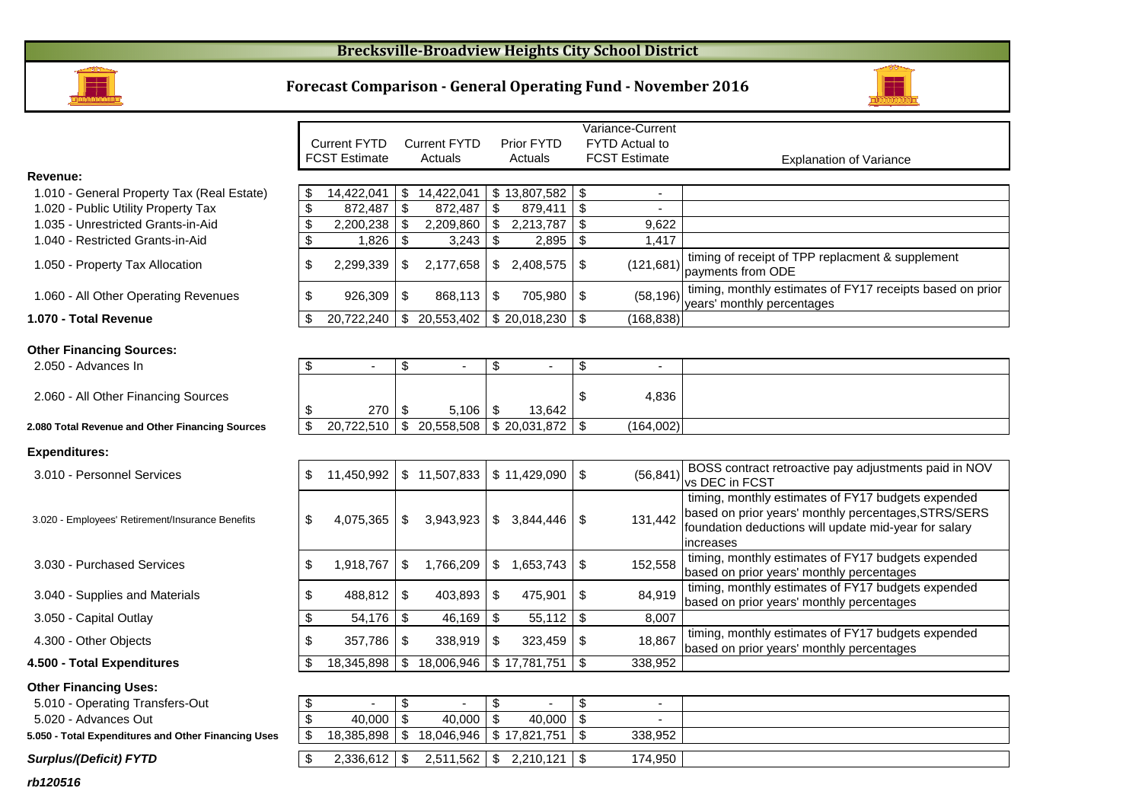### **Brecksville-Broadview Heights City School District**



#### **Forecast Comparison - General Operating Fund - November 2016**



|                                                  |                                  |      |                     |                         |              |                | Variance-Current      |                                                                                                                                                                                  |
|--------------------------------------------------|----------------------------------|------|---------------------|-------------------------|--------------|----------------|-----------------------|----------------------------------------------------------------------------------------------------------------------------------------------------------------------------------|
|                                                  | <b>Current FYTD</b>              |      | <b>Current FYTD</b> |                         | Prior FYTD   |                | <b>FYTD Actual to</b> |                                                                                                                                                                                  |
|                                                  | <b>FCST Estimate</b>             |      | Actuals             |                         | Actuals      |                | <b>FCST Estimate</b>  | <b>Explanation of Variance</b>                                                                                                                                                   |
| Revenue:                                         |                                  |      |                     |                         |              |                |                       |                                                                                                                                                                                  |
| 1.010 - General Property Tax (Real Estate)       | \$<br>14.422.041                 | \$   | 14,422,041          |                         | \$13,807,582 | \$             |                       |                                                                                                                                                                                  |
| 1.020 - Public Utility Property Tax              | \$<br>872,487                    | - \$ | 872,487             | \$                      | 879,411      | \$             |                       |                                                                                                                                                                                  |
| 1.035 - Unrestricted Grants-in-Aid               | \$<br>2,200,238                  | -\$  | 2,209,860           | $\sqrt[6]{\frac{1}{2}}$ | 2,213,787    | \$             | 9,622                 |                                                                                                                                                                                  |
| 1.040 - Restricted Grants-in-Aid                 | \$<br>1,826                      | -\$  | 3,243               | \$                      | 2,895        | \$             | 1,417                 |                                                                                                                                                                                  |
| 1.050 - Property Tax Allocation                  | \$<br>2,299,339                  | \$   | 2,177,658           | \$                      | 2,408,575    | \$             | (121, 681)            | timing of receipt of TPP replacment & supplement<br>payments from ODE                                                                                                            |
| 1.060 - All Other Operating Revenues             | \$<br>926,309                    | -\$  | 868,113             | \$                      | 705,980      | \$             | (58, 196)             | timing, monthly estimates of FY17 receipts based on prior<br>years' monthly percentages                                                                                          |
| 1.070 - Total Revenue                            | \$<br>20,722,240                 | \$   | 20,553,402          |                         | \$20,018,230 | \$             | (168, 838)            |                                                                                                                                                                                  |
|                                                  |                                  |      |                     |                         |              |                |                       |                                                                                                                                                                                  |
| <b>Other Financing Sources:</b>                  |                                  |      |                     |                         |              |                |                       |                                                                                                                                                                                  |
| 2.050 - Advances In                              | \$<br>$\blacksquare$             | \$   | $\sim$              | \$                      |              | \$             |                       |                                                                                                                                                                                  |
| 2.060 - All Other Financing Sources              | \$<br>270                        | - \$ | 5,106               | \$                      | 13,642       | \$             | 4,836                 |                                                                                                                                                                                  |
| 2.080 Total Revenue and Other Financing Sources  | \$<br>$20,722,510$ \$            |      | 20,558,508          |                         | \$20,031,872 | \$             | (164,002)             |                                                                                                                                                                                  |
|                                                  |                                  |      |                     |                         |              |                |                       |                                                                                                                                                                                  |
| <b>Expenditures:</b>                             |                                  |      |                     |                         |              |                |                       |                                                                                                                                                                                  |
| 3.010 - Personnel Services                       | \$<br>11,450,992                 |      | \$11,507,833        |                         | \$11,429,090 | $\mathfrak{S}$ | (56, 841)             | BOSS contract retroactive pay adjustments paid in NOV<br>vs DEC in FCST                                                                                                          |
| 3.020 - Employees' Retirement/Insurance Benefits | \$<br>4,075,365                  | \$   | 3,943,923           |                         | \$3,844,446  | \$             | 131,442               | timing, monthly estimates of FY17 budgets expended<br>based on prior years' monthly percentages, STRS/SERS<br>foundation deductions will update mid-year for salary<br>increases |
| 3.030 - Purchased Services                       | \$<br>1,918,767                  | \$   | 1,766,209           | \$                      | 1,653,743    | \$             | 152,558               | timing, monthly estimates of FY17 budgets expended<br>based on prior years' monthly percentages                                                                                  |
| 3.040 - Supplies and Materials                   | \$<br>488,812                    | -\$  | 403,893             | \$                      | 475,901      | \$             | 84,919                | timing, monthly estimates of FY17 budgets expended<br>based on prior years' monthly percentages                                                                                  |
| 3.050 - Capital Outlay                           | \$                               |      | 46,169              | \$                      | 55,112       | \$             | 8,007                 |                                                                                                                                                                                  |
| 4.300 - Other Objects                            | \$<br>357,786                    | \$   | 338,919             | \$                      | 323,459      | \$             | 18,867                | timing, monthly estimates of FY17 budgets expended<br>based on prior years' monthly percentages                                                                                  |
| 4.500 - Total Expenditures                       | \$<br>18,345,898   \$ 18,006,946 |      |                     |                         | \$17,781,751 | $\sqrt[6]{3}$  | 338,952               |                                                                                                                                                                                  |

#### **Other Financing Uses:**

5.010 - Operating Transfers-Out 5.010 - 5.010 - 5.010 - 5.010 - 5.010 - 5.010 - 5.010 - 5.010 - 5.010 - 5.010 - 5.010 - 5.010 - 5.010 - 5.010 - 5.010 - 5.010 - 5.010 - 5.010 - 5.010 - 5.010 - 5.010 - 5.010 - 5.010 - 5.010

5.020 - Advances Out

**5.050 - Total Expenditures and Other Financing Uses**

**Surplus/(Deficit) FYTD**

| S  | 11,450,992 | S. | 11,507,833 |     | \$11,429,090 | \$ | (56, 841) | BOSS contract retroactive pay adjustments paid in NOV<br>vs DEC in FCST                                                                                                          |
|----|------------|----|------------|-----|--------------|----|-----------|----------------------------------------------------------------------------------------------------------------------------------------------------------------------------------|
| \$ | 4,075,365  |    | 3,943,923  | S.  | 3,844,446    | S  | 131,442   | timing, monthly estimates of FY17 budgets expended<br>based on prior years' monthly percentages, STRS/SERS<br>foundation deductions will update mid-year for salary<br>increases |
| S  | 1,918,767  | S  | 1,766,209  | \$. | 653,743.     | S  | 152,558   | timing, monthly estimates of FY17 budgets expended<br>based on prior years' monthly percentages                                                                                  |
| \$ | 488,812    |    | 403,893    | S   | 475,901      | \$ | 84,919    | timing, monthly estimates of FY17 budgets expended<br>based on prior years' monthly percentages                                                                                  |
|    | 54,176     |    | 46,169     | S   | 55,112       | \$ | 8,007     |                                                                                                                                                                                  |
| \$ | 357,786    |    | 338,919    | S   | 323,459      | S  | 18,867    | timing, monthly estimates of FY17 budgets expended<br>based on prior years' monthly percentages                                                                                  |
|    | 18,345,898 |    | 18.006.946 |     | \$17.781.751 | \$ | 338,952   |                                                                                                                                                                                  |

| ansfers-Out                | $\overline{\phantom{0}}$ |            |              | $\overline{\phantom{0}}$ |  |
|----------------------------|--------------------------|------------|--------------|--------------------------|--|
|                            | 40,000                   | 40,000     | 40,000       | $\overline{\phantom{0}}$ |  |
| s and Other Financing Uses | 18.385.898               | 18,046,946 | \$17.821.751 | 338.952                  |  |
|                            |                          |            |              |                          |  |
| D                          | 2.336.612                | 2,511,562  | 2.210.121    | 174,950                  |  |
|                            |                          |            |              |                          |  |

**rb120516**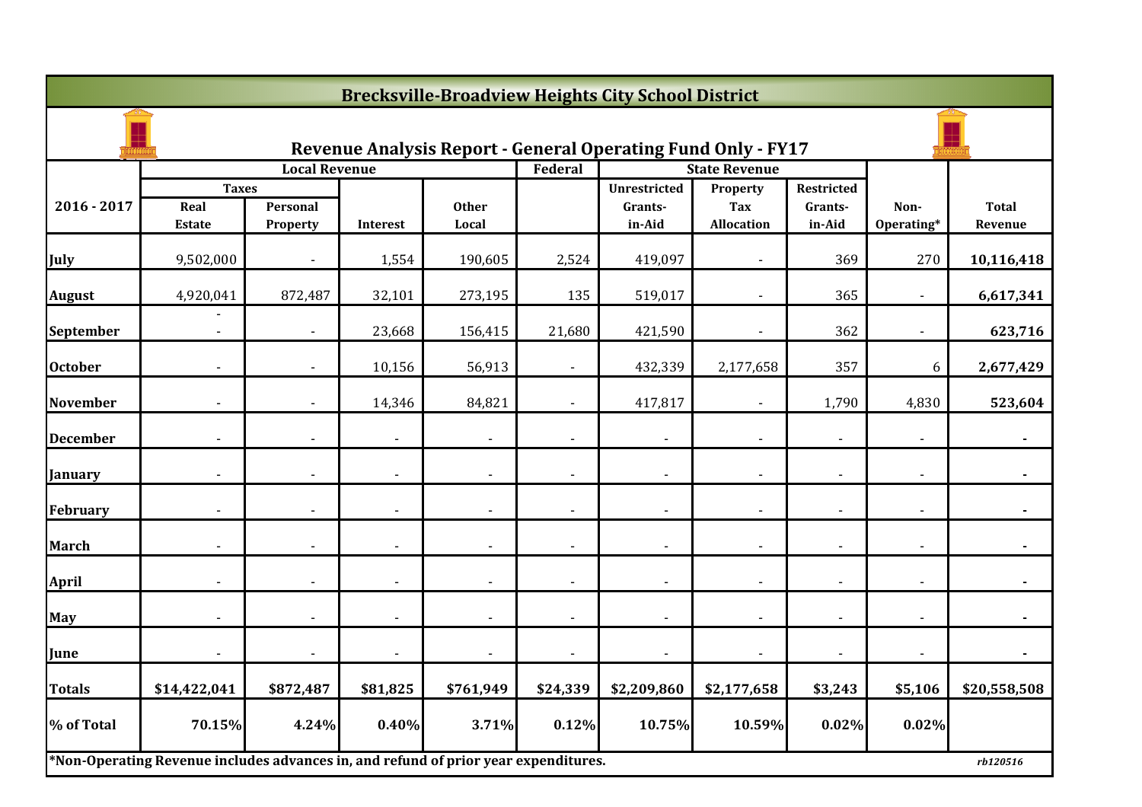| <b>Brecksville-Broadview Heights City School District</b> |                                                                                     |                          |                          |                       |                |                                                                     |                                             |                                 |                    |                         |  |  |
|-----------------------------------------------------------|-------------------------------------------------------------------------------------|--------------------------|--------------------------|-----------------------|----------------|---------------------------------------------------------------------|---------------------------------------------|---------------------------------|--------------------|-------------------------|--|--|
|                                                           |                                                                                     |                          |                          |                       |                | <b>Revenue Analysis Report - General Operating Fund Only - FY17</b> |                                             |                                 |                    |                         |  |  |
|                                                           |                                                                                     | <b>Local Revenue</b>     |                          |                       | Federal        |                                                                     | <b>State Revenue</b>                        |                                 |                    |                         |  |  |
| $2016 - 2017$                                             | <b>Taxes</b><br>Real<br><b>Estate</b>                                               | Personal<br>Property     | <b>Interest</b>          | <b>Other</b><br>Local |                | <b>Unrestricted</b><br>Grants-<br>in-Aid                            | Property<br><b>Tax</b><br><b>Allocation</b> | Restricted<br>Grants-<br>in-Aid | Non-<br>Operating* | <b>Total</b><br>Revenue |  |  |
| July                                                      | 9,502,000                                                                           |                          | 1,554                    | 190,605               | 2,524          | 419,097                                                             |                                             | 369                             | 270                | 10,116,418              |  |  |
| <b>August</b>                                             | 4,920,041                                                                           | 872,487                  | 32,101                   | 273,195               | 135            | 519,017                                                             |                                             | 365                             |                    | 6,617,341               |  |  |
| September                                                 | $\sim$                                                                              | $\blacksquare$           | 23,668                   | 156,415               | 21,680         | 421,590                                                             | $\sim$                                      | 362                             | $\blacksquare$     | 623,716                 |  |  |
| <b>October</b>                                            |                                                                                     |                          | 10,156                   | 56,913                |                | 432,339                                                             | 2,177,658                                   | 357                             | 6                  | 2,677,429               |  |  |
| <b>November</b>                                           |                                                                                     |                          | 14,346                   | 84,821                | $\blacksquare$ | 417,817                                                             |                                             | 1,790                           | 4,830              | 523,604                 |  |  |
| <b>December</b>                                           |                                                                                     |                          |                          |                       |                |                                                                     |                                             |                                 |                    |                         |  |  |
| January                                                   |                                                                                     |                          |                          |                       |                |                                                                     |                                             |                                 |                    |                         |  |  |
| February                                                  | $\overline{\phantom{a}}$                                                            | $\overline{\phantom{a}}$ | $\overline{a}$           |                       | $\blacksquare$ | $\blacksquare$                                                      | $\overline{\phantom{0}}$                    | $\overline{\phantom{0}}$        | $\blacksquare$     | $\blacksquare$          |  |  |
| <b>March</b>                                              |                                                                                     | $\overline{\phantom{a}}$ |                          |                       | $\blacksquare$ | $\overline{\phantom{a}}$                                            |                                             | $\overline{a}$                  |                    |                         |  |  |
| <b>April</b>                                              |                                                                                     |                          | $\overline{\phantom{a}}$ |                       |                | $\blacksquare$                                                      |                                             |                                 |                    |                         |  |  |
| May                                                       |                                                                                     |                          | $\blacksquare$           |                       | $\blacksquare$ | $\blacksquare$                                                      |                                             |                                 |                    |                         |  |  |
| June                                                      |                                                                                     |                          |                          |                       |                | $\blacksquare$                                                      |                                             |                                 |                    |                         |  |  |
| <b>Totals</b>                                             | \$14,422,041                                                                        | \$872,487                | \$81,825                 | \$761,949             | \$24,339       | \$2,209,860                                                         | \$2,177,658                                 | \$3,243                         | \$5,106            | \$20,558,508            |  |  |
| % of Total                                                | 70.15%                                                                              | 4.24%                    | 0.40%                    | 3.71%                 | 0.12%          | 10.75%                                                              | 10.59%                                      | 0.02%                           | 0.02%              |                         |  |  |
|                                                           | *Non-Operating Revenue includes advances in, and refund of prior year expenditures. |                          |                          |                       |                |                                                                     |                                             |                                 |                    | rb120516                |  |  |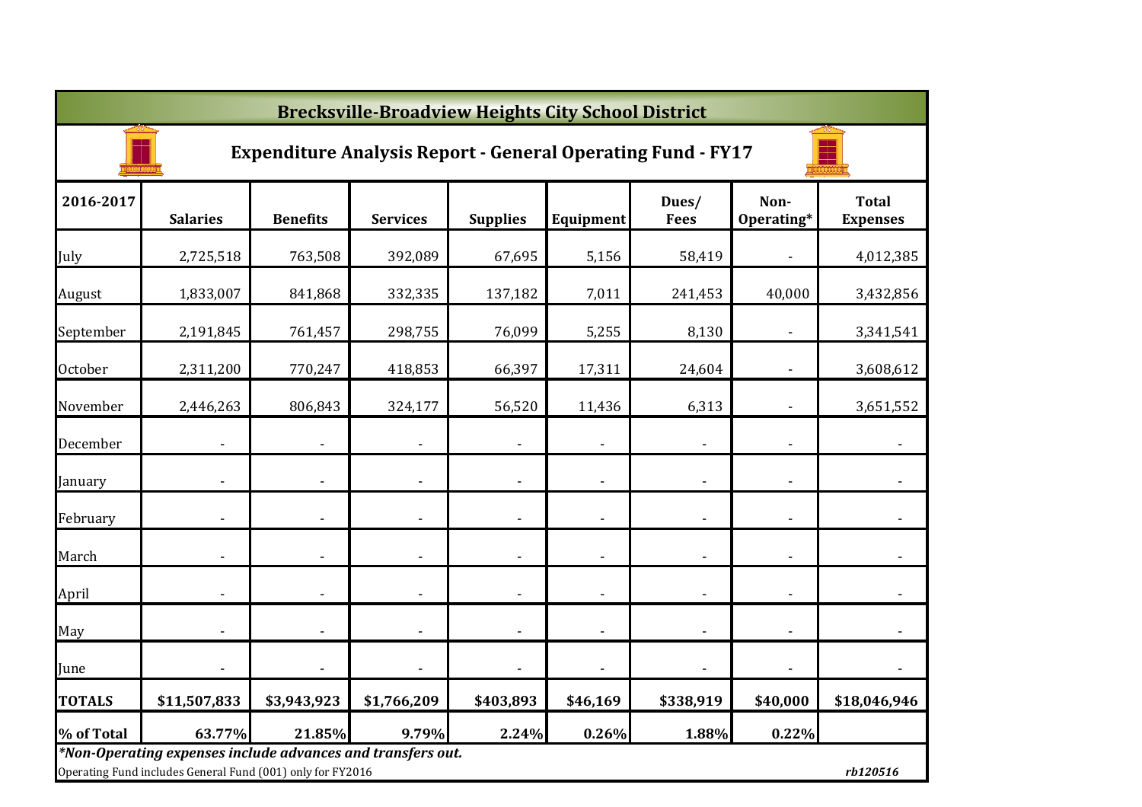|                | <b>Brecksville-Broadview Heights City School District</b>                                                                 |                          |                          |                 |                          |                      |                          |                                 |  |  |  |  |  |
|----------------|---------------------------------------------------------------------------------------------------------------------------|--------------------------|--------------------------|-----------------|--------------------------|----------------------|--------------------------|---------------------------------|--|--|--|--|--|
|                | <b>Expenditure Analysis Report - General Operating Fund - FY17</b>                                                        |                          |                          |                 |                          |                      |                          |                                 |  |  |  |  |  |
| 2016-2017      | <b>Salaries</b>                                                                                                           | <b>Benefits</b>          | <b>Services</b>          | <b>Supplies</b> | Equipment                | Dues/<br><b>Fees</b> | Non-<br>Operating*       | <b>Total</b><br><b>Expenses</b> |  |  |  |  |  |
| July           | 2,725,518                                                                                                                 | 763,508                  | 392,089                  | 67,695          | 5,156                    | 58,419               |                          | 4,012,385                       |  |  |  |  |  |
| August         | 1,833,007                                                                                                                 | 841,868                  | 332,335                  | 137,182         | 7,011                    | 241,453              | 40,000                   | 3,432,856                       |  |  |  |  |  |
| September      | 2,191,845                                                                                                                 | 761,457                  | 298,755                  | 76,099          | 5,255                    | 8,130                |                          | 3,341,541                       |  |  |  |  |  |
| <b>October</b> | 2,311,200                                                                                                                 | 770,247                  | 418,853                  | 66,397          | 17,311                   | 24,604               |                          | 3,608,612                       |  |  |  |  |  |
| November       | 2,446,263                                                                                                                 | 806,843                  | 324,177                  | 56,520          | 11,436                   | 6,313                |                          | 3,651,552                       |  |  |  |  |  |
| December       |                                                                                                                           | $\overline{\phantom{a}}$ | $\blacksquare$           |                 | $\overline{\phantom{a}}$ |                      |                          | $\overline{\phantom{a}}$        |  |  |  |  |  |
| January        |                                                                                                                           |                          | $\overline{\phantom{a}}$ |                 | $\overline{\phantom{a}}$ |                      |                          |                                 |  |  |  |  |  |
| February       |                                                                                                                           | $\overline{\phantom{a}}$ | $\overline{\phantom{a}}$ |                 | $\overline{\phantom{a}}$ |                      | $\overline{\phantom{a}}$ | $\blacksquare$                  |  |  |  |  |  |
| March          | $\overline{a}$                                                                                                            | $\overline{\phantom{a}}$ | $\overline{\phantom{a}}$ | $\blacksquare$  | $\overline{\phantom{a}}$ |                      | $\overline{\phantom{a}}$ | $\overline{\phantom{a}}$        |  |  |  |  |  |
| April          |                                                                                                                           |                          | $\blacksquare$           |                 | $\overline{\phantom{a}}$ |                      | $\overline{\phantom{a}}$ | $\overline{\phantom{a}}$        |  |  |  |  |  |
| May            | ÷                                                                                                                         |                          | $\blacksquare$           | $\blacksquare$  | $\overline{\phantom{a}}$ |                      |                          | $\overline{\phantom{a}}$        |  |  |  |  |  |
| June           |                                                                                                                           |                          |                          |                 |                          |                      |                          | $\overline{\phantom{a}}$        |  |  |  |  |  |
| <b>TOTALS</b>  | \$11,507,833                                                                                                              | \$3,943,923              | \$1,766,209              | \$403,893       | \$46,169                 | \$338,919            | \$40,000                 | \$18,046,946                    |  |  |  |  |  |
| % of Total     | 63.77%                                                                                                                    | 21.85%                   | 9.79%                    | 2.24%           | 0.26%                    | 1.88%                | 0.22%                    |                                 |  |  |  |  |  |
|                | *Non-Operating expenses include advances and transfers out.<br>Operating Fund includes General Fund (001) only for FY2016 |                          |                          |                 |                          |                      |                          | rb120516                        |  |  |  |  |  |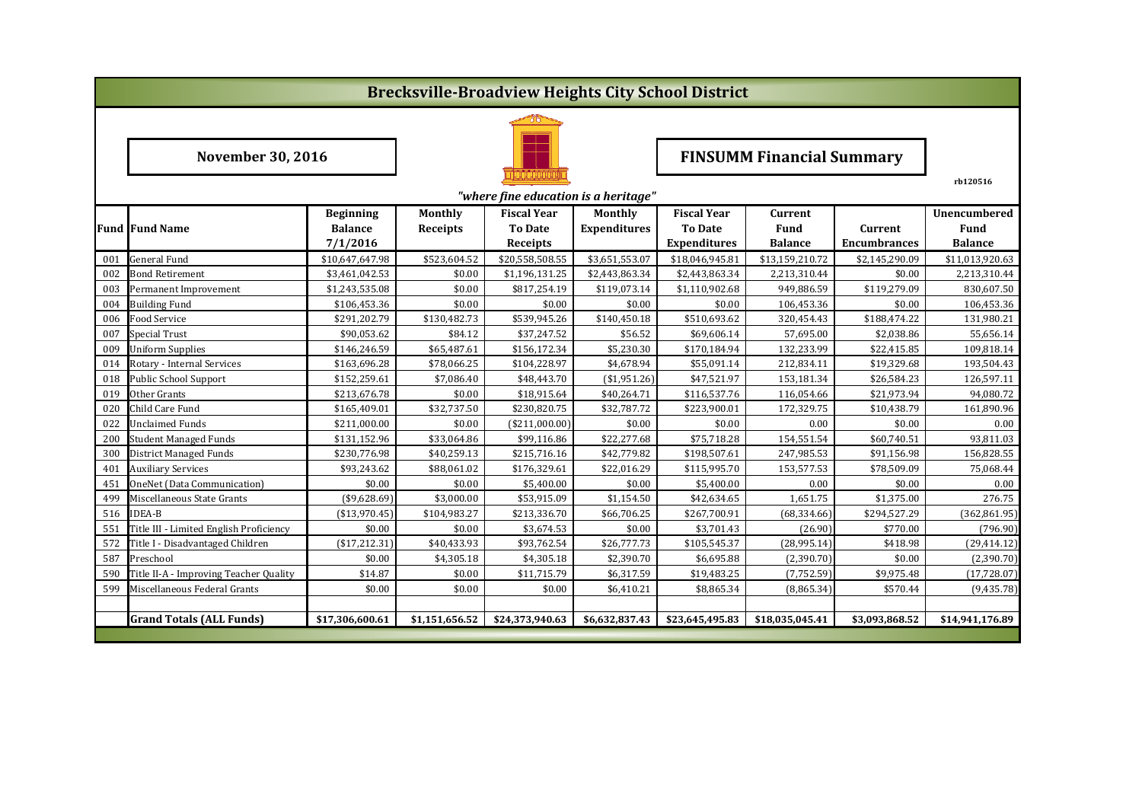|     | <b>Brecksville-Broadview Heights City School District</b> |                  |                    |                                      |                     |                     |                                  |                     |                 |  |  |  |  |  |
|-----|-----------------------------------------------------------|------------------|--------------------|--------------------------------------|---------------------|---------------------|----------------------------------|---------------------|-----------------|--|--|--|--|--|
|     |                                                           |                  |                    |                                      |                     |                     |                                  |                     |                 |  |  |  |  |  |
|     | <b>November 30, 2016</b>                                  |                  |                    |                                      |                     |                     | <b>FINSUMM Financial Summary</b> |                     |                 |  |  |  |  |  |
|     |                                                           |                  |                    | "where fine education is a heritage" |                     |                     | rb120516                         |                     |                 |  |  |  |  |  |
|     |                                                           | <b>Beginning</b> | <b>Fiscal Year</b> | Current                              |                     | Unencumbered        |                                  |                     |                 |  |  |  |  |  |
|     | <b>Fund Fund Name</b>                                     | <b>Balance</b>   | <b>Receipts</b>    | <b>To Date</b>                       | <b>Expenditures</b> | <b>To Date</b>      | <b>Fund</b>                      | Current             | <b>Fund</b>     |  |  |  |  |  |
|     |                                                           | 7/1/2016         |                    | Receipts                             |                     | <b>Expenditures</b> | <b>Balance</b>                   | <b>Encumbrances</b> | <b>Balance</b>  |  |  |  |  |  |
| 001 | <b>General Fund</b>                                       | \$10,647,647.98  | \$523,604.52       | \$20,558,508.55                      | \$3,651,553.07      | \$18,046,945.81     | \$13,159,210.72                  | \$2,145,290.09      | \$11,013,920.63 |  |  |  |  |  |
| 002 | <b>Bond Retirement</b>                                    | \$3,461,042.53   | \$0.00             | \$1,196,131.25                       | \$2,443,863.34      | \$2,443,863.34      | 2,213,310.44                     | \$0.00              | 2,213,310.44    |  |  |  |  |  |
| 003 | Permanent Improvement                                     | \$1,243,535.08   | \$0.00             | \$817,254.19                         | \$119,073.14        | \$1,110,902.68      | 949.886.59                       | \$119,279.09        | 830.607.50      |  |  |  |  |  |
| 004 | <b>Building Fund</b>                                      | \$106,453.36     | \$0.00             | \$0.00                               | \$0.00              | \$0.00              | 106,453.36                       | \$0.00              | 106,453.36      |  |  |  |  |  |
| 006 | Food Service                                              | \$291,202.79     | \$130,482.73       | \$539,945.26                         | \$140,450.18        | \$510,693.62        | 320,454.43                       | \$188,474.22        | 131,980.21      |  |  |  |  |  |
| 007 | <b>Special Trust</b>                                      | \$90,053.62      | \$84.12            | \$37,247.52                          | \$56.52             | \$69,606.14         | 57,695.00                        | \$2,038.86          | 55,656.14       |  |  |  |  |  |
| 009 | <b>Uniform Supplies</b>                                   | \$146,246.59     | \$65,487.61        | \$156,172.34                         | \$5,230.30          | \$170,184.94        | 132,233.99                       | \$22,415.85         | 109,818.14      |  |  |  |  |  |
| 014 | Rotary - Internal Services                                | \$163,696.28     | \$78,066.25        | \$104,228.97                         | \$4,678.94          | \$55,091.14         | 212,834.11                       | \$19,329.68         | 193,504.43      |  |  |  |  |  |
| 018 | <b>Public School Support</b>                              | \$152,259.61     | \$7,086.40         | \$48,443.70                          | (\$1,951.26)        | \$47,521.97         | 153,181.34                       | \$26,584.23         | 126,597.11      |  |  |  |  |  |
| 019 | Other Grants                                              | \$213,676.78     | \$0.00             | \$18,915.64                          | \$40,264.71         | \$116,537.76        | 116,054.66                       | \$21,973.94         | 94,080.72       |  |  |  |  |  |
| 020 | Child Care Fund                                           | \$165,409.01     | \$32,737.50        | \$230,820.75                         | \$32,787.72         | \$223,900.01        | 172,329.75                       | \$10,438.79         | 161,890.96      |  |  |  |  |  |
| 022 | <b>Unclaimed Funds</b>                                    | \$211,000.00     | \$0.00             | (\$211,000.00)                       | \$0.00              | \$0.00              | 0.00                             | \$0.00              | 0.00            |  |  |  |  |  |
| 200 | <b>Student Managed Funds</b>                              | \$131,152.96     | \$33,064.86        | \$99,116.86                          | \$22,277.68         | \$75,718.28         | 154,551.54                       | \$60,740.51         | 93,811.03       |  |  |  |  |  |
| 300 | <b>District Managed Funds</b>                             | \$230,776.98     | \$40,259.13        | \$215,716.16                         | \$42,779.82         | \$198,507.61        | 247,985.53                       | \$91,156.98         | 156,828.55      |  |  |  |  |  |
| 401 | <b>Auxiliary Services</b>                                 | \$93,243.62      | \$88,061.02        | \$176,329.61                         | \$22,016.29         | \$115,995.70        | 153,577.53                       | \$78,509.09         | 75,068.44       |  |  |  |  |  |
| 451 | OneNet (Data Communication)                               | \$0.00           | \$0.00             | \$5,400.00                           | \$0.00              | \$5,400.00          | 0.00                             | \$0.00              | 0.00            |  |  |  |  |  |
| 499 | Miscellaneous State Grants                                | $(*9,628.69)$    | \$3,000.00         | \$53,915.09                          | \$1,154.50          | \$42,634.65         | 1,651.75                         | \$1,375.00          | 276.75          |  |  |  |  |  |
| 516 | <b>IDEA-B</b>                                             | ( \$13,970.45)   | \$104,983.27       | \$213,336.70                         | \$66,706.25         | \$267,700.91        | (68, 334.66)                     | \$294,527.29        | (362, 861.95)   |  |  |  |  |  |
| 551 | Title III - Limited English Proficiency                   | \$0.00           | \$0.00             | \$3,674.53                           | \$0.00              | \$3,701.43          | (26.90)                          | \$770.00            | (796.90)        |  |  |  |  |  |
| 572 | Title I - Disadvantaged Children                          | ( \$17, 212.31)  | \$40,433.93        | \$93,762.54                          | \$26,777.73         | \$105,545.37        | (28,995.14)                      | \$418.98            | (29, 414.12)    |  |  |  |  |  |
| 587 | Preschool                                                 | \$0.00           | \$4,305.18         | \$4,305.18                           | \$2,390.70          | \$6,695.88          | (2,390.70)                       | \$0.00              | (2,390.70)      |  |  |  |  |  |
| 590 | Title II-A - Improving Teacher Quality                    | \$14.87          | \$0.00             | \$11,715.79                          | \$6,317.59          | \$19,483.25         | (7,752.59)                       | \$9,975.48          | (17, 728.07)    |  |  |  |  |  |
| 599 | Miscellaneous Federal Grants                              | \$0.00           | \$0.00             | \$0.00                               | \$6,410.21          | \$8,865.34          | (8,865.34)                       | \$570.44            | (9,435.78)      |  |  |  |  |  |
|     |                                                           |                  |                    |                                      |                     |                     |                                  |                     |                 |  |  |  |  |  |
|     | <b>Grand Totals (ALL Funds)</b>                           | \$17,306,600.61  | \$1,151,656.52     | \$24,373,940.63                      | \$6,632,837.43      | \$23,645,495.83     | \$18,035,045.41                  | \$3,093,868.52      | \$14,941,176.89 |  |  |  |  |  |
|     |                                                           |                  |                    |                                      |                     |                     |                                  |                     |                 |  |  |  |  |  |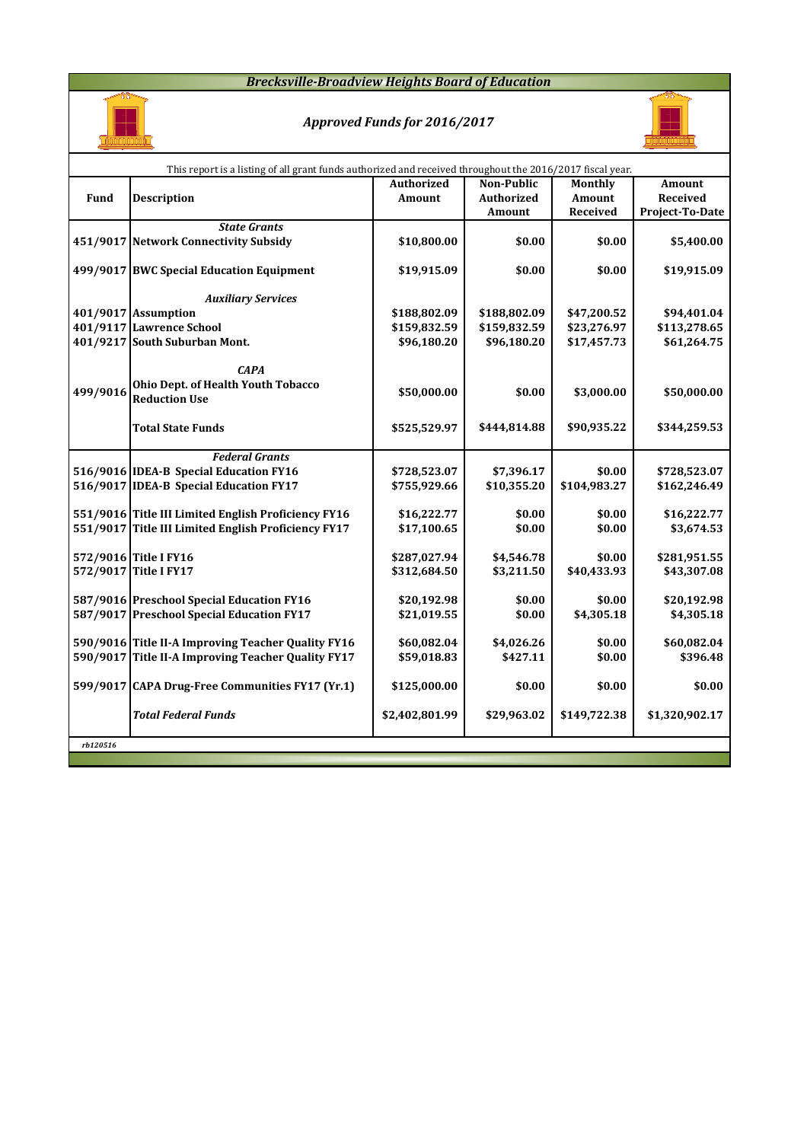#### *Brecksville-Broadview Heights Board of Education*



# *Approved Funds for 2016/2017*



|          | This report is a listing of all grant funds authorized and received throughout the 2016/2017 fiscal year. |                |                   |               |                 |
|----------|-----------------------------------------------------------------------------------------------------------|----------------|-------------------|---------------|-----------------|
|          |                                                                                                           | Authorized     | <b>Non-Public</b> | Monthly       | Amount          |
| Fund     | <b>Description</b>                                                                                        | Amount         | <b>Authorized</b> | <b>Amount</b> | Received        |
|          |                                                                                                           |                | Amount            | Received      | Project-To-Date |
|          | <b>State Grants</b>                                                                                       |                |                   |               |                 |
|          | 451/9017 Network Connectivity Subsidy                                                                     | \$10,800.00    | \$0.00            | \$0.00        | \$5,400.00      |
|          |                                                                                                           |                |                   |               |                 |
|          | 499/9017 BWC Special Education Equipment                                                                  | \$19,915.09    | \$0.00            | \$0.00        | \$19,915.09     |
|          |                                                                                                           |                |                   |               |                 |
|          | <b>Auxiliary Services</b>                                                                                 |                |                   |               |                 |
|          | 401/9017 Assumption                                                                                       | \$188,802.09   | \$188,802.09      | \$47,200.52   | \$94,401.04     |
|          | 401/9117 Lawrence School                                                                                  | \$159,832.59   | \$159,832.59      | \$23,276.97   | \$113,278.65    |
|          | 401/9217 South Suburban Mont.                                                                             | \$96,180.20    | \$96,180.20       | \$17,457.73   | \$61,264.75     |
|          |                                                                                                           |                |                   |               |                 |
|          | <b>CAPA</b>                                                                                               |                |                   |               |                 |
| 499/9016 | Ohio Dept. of Health Youth Tobacco                                                                        | \$50,000.00    | \$0.00            | \$3,000.00    | \$50,000.00     |
|          | <b>Reduction Use</b>                                                                                      |                |                   |               |                 |
|          |                                                                                                           |                |                   |               |                 |
|          | <b>Total State Funds</b>                                                                                  | \$525,529.97   | \$444,814.88      | \$90,935.22   | \$344,259.53    |
|          |                                                                                                           |                |                   |               |                 |
|          | <b>Federal Grants</b>                                                                                     |                |                   |               |                 |
|          | 516/9016 IDEA-B Special Education FY16                                                                    | \$728,523.07   | \$7,396.17        | \$0.00        | \$728,523.07    |
|          | 516/9017 IDEA-B Special Education FY17                                                                    | \$755,929.66   | \$10,355.20       | \$104,983.27  | \$162,246.49    |
|          |                                                                                                           |                |                   |               |                 |
|          | 551/9016 Title III Limited English Proficiency FY16                                                       | \$16,222.77    | \$0.00            | \$0.00        | \$16,222.77     |
|          | 551/9017 Title III Limited English Proficiency FY17                                                       | \$17,100.65    | \$0.00            | \$0.00        | \$3,674.53      |
|          |                                                                                                           |                |                   |               |                 |
|          | 572/9016 Title I FY16                                                                                     | \$287,027.94   | \$4,546.78        | \$0.00        | \$281,951.55    |
|          | 572/9017 Title I FY17                                                                                     | \$312,684.50   | \$3,211.50        | \$40,433.93   | \$43,307.08     |
|          |                                                                                                           |                |                   |               |                 |
|          | 587/9016 Preschool Special Education FY16                                                                 | \$20,192.98    | \$0.00            | \$0.00        | \$20,192.98     |
|          | 587/9017 Preschool Special Education FY17                                                                 | \$21,019.55    | \$0.00            | \$4,305.18    | \$4,305.18      |
|          |                                                                                                           |                |                   |               |                 |
|          | 590/9016 Title II-A Improving Teacher Quality FY16                                                        | \$60,082.04    | \$4,026.26        | \$0.00        | \$60,082.04     |
|          | 590/9017 Title II-A Improving Teacher Quality FY17                                                        | \$59,018.83    | \$427.11          | \$0.00        | \$396.48        |
|          |                                                                                                           |                |                   |               |                 |
|          | 599/9017 CAPA Drug-Free Communities FY17 (Yr.1)                                                           | \$125,000.00   | \$0.00            | \$0.00        | \$0.00          |
|          |                                                                                                           |                |                   |               |                 |
|          | <b>Total Federal Funds</b>                                                                                | \$2,402,801.99 | \$29,963.02       | \$149,722.38  | \$1,320,902.17  |
|          |                                                                                                           |                |                   |               |                 |
| rb120516 |                                                                                                           |                |                   |               |                 |
|          |                                                                                                           |                |                   |               |                 |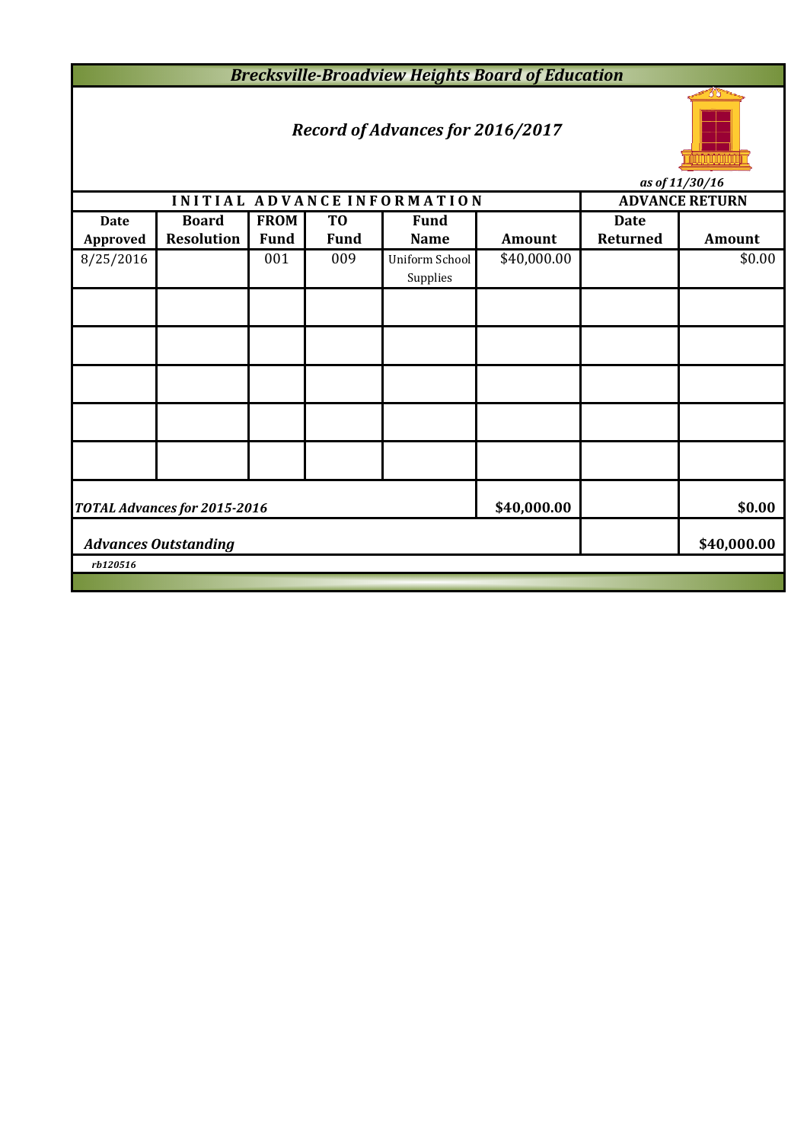*Brecksville-Broadview Heights Board of Education*

# *Record of Advances for 2016/2017*



**INITIAL ADVANCE INFORMATION ADVANCE RETURN Date Board FROM TO Fund Date Approved Resolution Fund Fund Name Amount Returned Amount** 8/25/2016 001 009 Uniform School \$40,000.00 \$0.00 Supplies **\$40,000.00 \$0.00 \$40,000.00** *rb120516 Advances Outstanding TOTAL Advances for 2015-2016*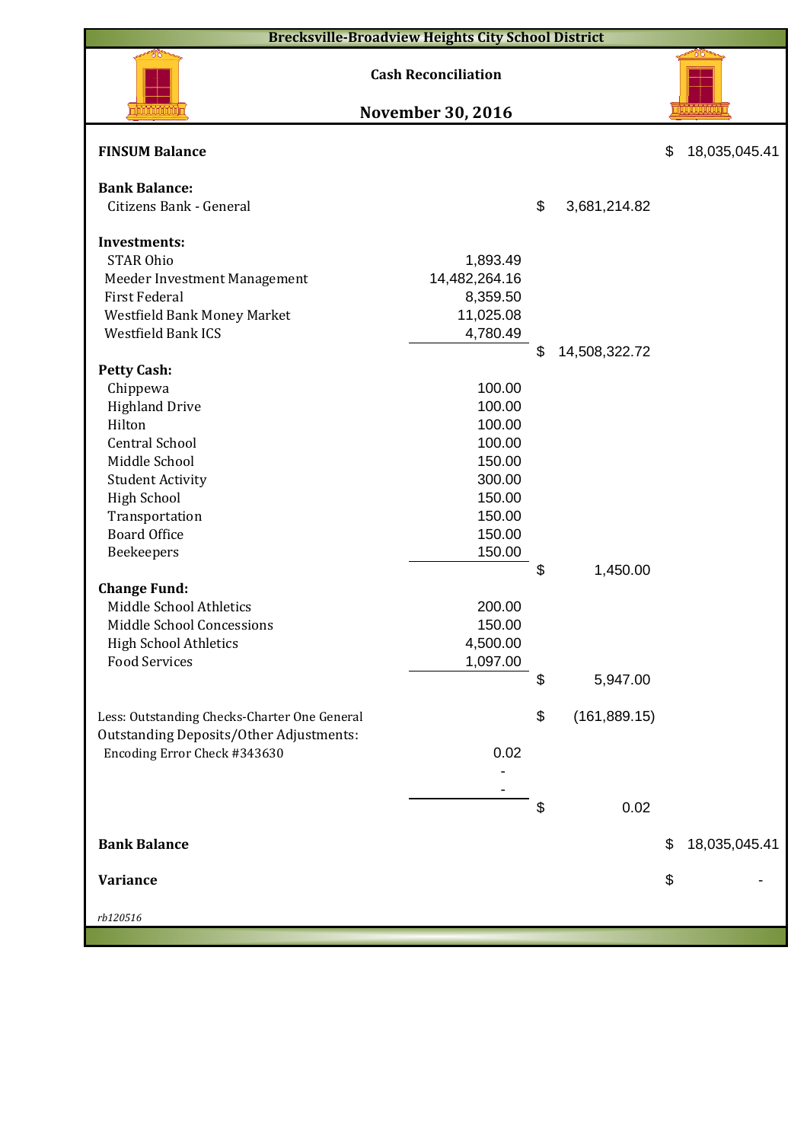| <b>Brecksville-Broadview Heights City School District</b>                                      |                                                        |    |               |    |               |  |  |  |  |  |  |
|------------------------------------------------------------------------------------------------|--------------------------------------------------------|----|---------------|----|---------------|--|--|--|--|--|--|
|                                                                                                | <b>Cash Reconciliation</b><br><b>November 30, 2016</b> |    |               |    |               |  |  |  |  |  |  |
|                                                                                                |                                                        |    |               |    |               |  |  |  |  |  |  |
| <b>FINSUM Balance</b>                                                                          |                                                        |    |               | \$ | 18,035,045.41 |  |  |  |  |  |  |
| <b>Bank Balance:</b>                                                                           |                                                        |    |               |    |               |  |  |  |  |  |  |
| Citizens Bank - General                                                                        |                                                        | \$ | 3,681,214.82  |    |               |  |  |  |  |  |  |
| <b>Investments:</b>                                                                            |                                                        |    |               |    |               |  |  |  |  |  |  |
| <b>STAR Ohio</b>                                                                               | 1,893.49                                               |    |               |    |               |  |  |  |  |  |  |
| Meeder Investment Management                                                                   | 14,482,264.16                                          |    |               |    |               |  |  |  |  |  |  |
| <b>First Federal</b>                                                                           | 8,359.50                                               |    |               |    |               |  |  |  |  |  |  |
| Westfield Bank Money Market                                                                    | 11,025.08                                              |    |               |    |               |  |  |  |  |  |  |
| <b>Westfield Bank ICS</b>                                                                      | 4,780.49                                               |    |               |    |               |  |  |  |  |  |  |
|                                                                                                |                                                        | \$ | 14,508,322.72 |    |               |  |  |  |  |  |  |
| <b>Petty Cash:</b>                                                                             |                                                        |    |               |    |               |  |  |  |  |  |  |
| Chippewa                                                                                       | 100.00                                                 |    |               |    |               |  |  |  |  |  |  |
| <b>Highland Drive</b>                                                                          | 100.00                                                 |    |               |    |               |  |  |  |  |  |  |
| Hilton                                                                                         | 100.00                                                 |    |               |    |               |  |  |  |  |  |  |
| <b>Central School</b>                                                                          | 100.00                                                 |    |               |    |               |  |  |  |  |  |  |
| Middle School                                                                                  | 150.00                                                 |    |               |    |               |  |  |  |  |  |  |
| <b>Student Activity</b>                                                                        | 300.00                                                 |    |               |    |               |  |  |  |  |  |  |
| <b>High School</b>                                                                             | 150.00                                                 |    |               |    |               |  |  |  |  |  |  |
| Transportation                                                                                 | 150.00                                                 |    |               |    |               |  |  |  |  |  |  |
| <b>Board Office</b>                                                                            | 150.00                                                 |    |               |    |               |  |  |  |  |  |  |
| Beekeepers                                                                                     | 150.00                                                 |    |               |    |               |  |  |  |  |  |  |
|                                                                                                |                                                        | \$ | 1,450.00      |    |               |  |  |  |  |  |  |
| <b>Change Fund:</b><br>Middle School Athletics                                                 | 200.00                                                 |    |               |    |               |  |  |  |  |  |  |
| Middle School Concessions                                                                      | 150.00                                                 |    |               |    |               |  |  |  |  |  |  |
| <b>High School Athletics</b>                                                                   | 4,500.00                                               |    |               |    |               |  |  |  |  |  |  |
| <b>Food Services</b>                                                                           | 1,097.00                                               |    |               |    |               |  |  |  |  |  |  |
|                                                                                                |                                                        | \$ | 5,947.00      |    |               |  |  |  |  |  |  |
|                                                                                                |                                                        |    |               |    |               |  |  |  |  |  |  |
| Less: Outstanding Checks-Charter One General<br><b>Outstanding Deposits/Other Adjustments:</b> |                                                        | \$ | (161, 889.15) |    |               |  |  |  |  |  |  |
| Encoding Error Check #343630                                                                   | 0.02                                                   |    |               |    |               |  |  |  |  |  |  |
|                                                                                                |                                                        |    |               |    |               |  |  |  |  |  |  |
|                                                                                                |                                                        |    |               |    |               |  |  |  |  |  |  |
|                                                                                                |                                                        | \$ | 0.02          |    |               |  |  |  |  |  |  |
| <b>Bank Balance</b>                                                                            |                                                        |    |               | \$ | 18,035,045.41 |  |  |  |  |  |  |
|                                                                                                |                                                        |    |               |    |               |  |  |  |  |  |  |
| <b>Variance</b>                                                                                |                                                        |    |               | \$ |               |  |  |  |  |  |  |
| rb120516                                                                                       |                                                        |    |               |    |               |  |  |  |  |  |  |
|                                                                                                |                                                        |    |               |    |               |  |  |  |  |  |  |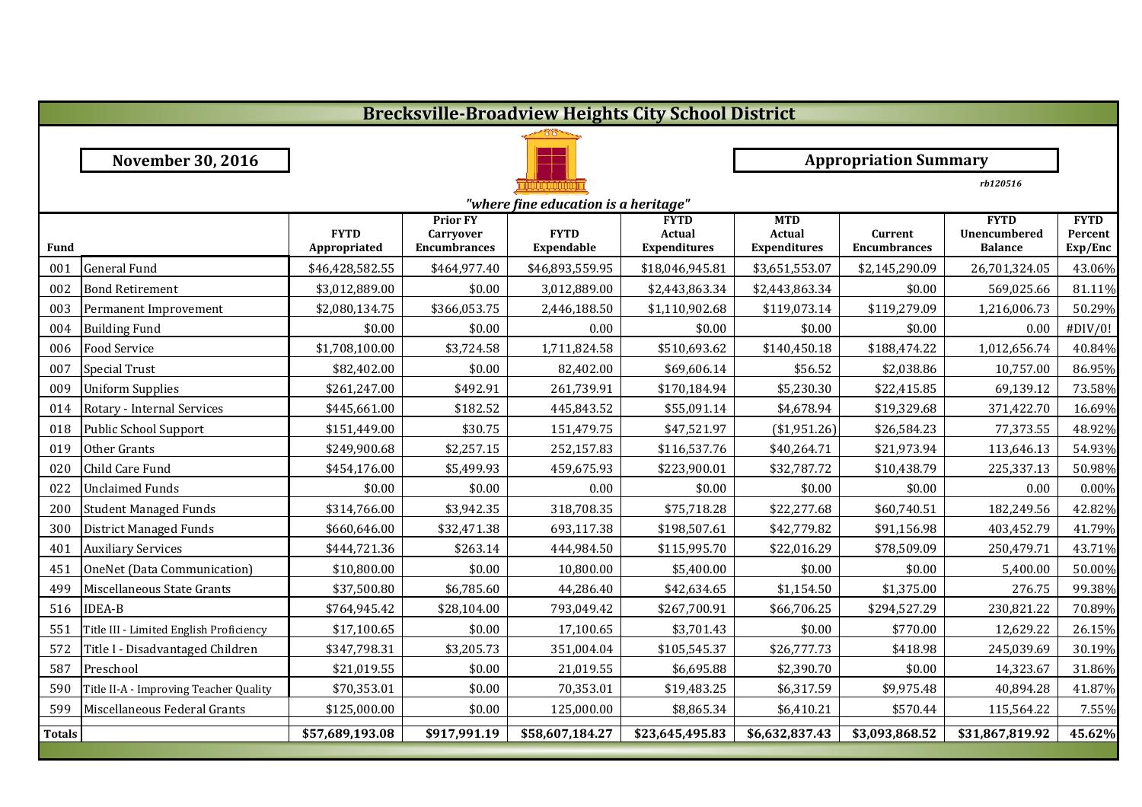|               |                                         |                             |                                                            |                                      | <b>Brecksville-Broadview Heights City School District</b> |                                             |                                |                                               |                                   |  |  |
|---------------|-----------------------------------------|-----------------------------|------------------------------------------------------------|--------------------------------------|-----------------------------------------------------------|---------------------------------------------|--------------------------------|-----------------------------------------------|-----------------------------------|--|--|
|               |                                         |                             |                                                            |                                      |                                                           |                                             |                                |                                               |                                   |  |  |
|               | <b>November 30, 2016</b>                |                             |                                                            |                                      |                                                           |                                             | <b>Appropriation Summary</b>   |                                               |                                   |  |  |
|               |                                         |                             |                                                            |                                      |                                                           | rb120516                                    |                                |                                               |                                   |  |  |
|               |                                         |                             |                                                            | "where fine education is a heritage" |                                                           |                                             |                                |                                               |                                   |  |  |
| <b>Fund</b>   |                                         | <b>FYTD</b><br>Appropriated | <b>Prior FY</b><br><b>Carryover</b><br><b>Encumbrances</b> | <b>FYTD</b><br><b>Expendable</b>     | <b>FYTD</b><br>Actual<br><b>Expenditures</b>              | <b>MTD</b><br>Actual<br><b>Expenditures</b> | Current<br><b>Encumbrances</b> | <b>FYTD</b><br>Unencumbered<br><b>Balance</b> | <b>FYTD</b><br>Percent<br>Exp/Enc |  |  |
| 001           | <b>General Fund</b>                     | \$46,428,582.55             | \$464,977.40                                               | \$46,893,559.95                      | \$18,046,945.81                                           | \$3,651,553.07                              | \$2,145,290.09                 | 26,701,324.05                                 | 43.06%                            |  |  |
| 002           | <b>Bond Retirement</b>                  | \$3,012,889.00              | \$0.00                                                     | 3,012,889.00                         | \$2,443,863.34                                            | \$2,443,863.34                              | \$0.00                         | 569,025.66                                    | 81.11%                            |  |  |
| 003           | Permanent Improvement                   | \$2,080,134.75              | \$366,053.75                                               | 2,446,188.50                         | \$1,110,902.68                                            | \$119,073.14                                | \$119,279.09                   | 1,216,006.73                                  | 50.29%                            |  |  |
| 004           | <b>Building Fund</b>                    | \$0.00                      | \$0.00                                                     | 0.00                                 | \$0.00                                                    | \$0.00                                      | \$0.00                         | 0.00                                          | #DIV/0!                           |  |  |
| 006           | <b>Food Service</b>                     | \$1,708,100.00              | \$3,724.58                                                 | 1,711,824.58                         | \$510,693.62                                              | \$140,450.18                                | \$188,474.22                   | 1,012,656.74                                  | 40.84%                            |  |  |
| 007           | <b>Special Trust</b>                    | \$82,402.00                 | \$0.00                                                     | 82,402.00                            | \$69,606.14                                               | \$56.52                                     | \$2,038.86                     | 10,757.00                                     | 86.95%                            |  |  |
| 009           | <b>Uniform Supplies</b>                 | \$261,247.00                | \$492.91                                                   | 261,739.91                           | \$170,184.94                                              | \$5,230.30                                  | \$22,415.85                    | 69,139.12                                     | 73.58%                            |  |  |
| 014           | Rotary - Internal Services              | \$445,661.00                | \$182.52                                                   | 445,843.52                           | \$55,091.14                                               | \$4,678.94                                  | \$19,329.68                    | 371,422.70                                    | 16.69%                            |  |  |
| 018           | Public School Support                   | \$151,449.00                | \$30.75                                                    | 151,479.75                           | \$47,521.97                                               | (\$1,951.26)                                | \$26,584.23                    | 77,373.55                                     | 48.92%                            |  |  |
| 019           | Other Grants                            | \$249,900.68                | \$2,257.15                                                 | 252,157.83                           | \$116,537.76                                              | \$40,264.71                                 | \$21,973.94                    | 113,646.13                                    | 54.93%                            |  |  |
| 020           | Child Care Fund                         | \$454,176.00                | \$5,499.93                                                 | 459,675.93                           | \$223,900.01                                              | \$32,787.72                                 | \$10,438.79                    | 225,337.13                                    | 50.98%                            |  |  |
| 022           | <b>Unclaimed Funds</b>                  | \$0.00                      | \$0.00                                                     | 0.00                                 | \$0.00                                                    | \$0.00                                      | \$0.00                         | 0.00                                          | 0.00%                             |  |  |
| 200           | <b>Student Managed Funds</b>            | \$314,766.00                | \$3,942.35                                                 | 318,708.35                           | \$75,718.28                                               | \$22,277.68                                 | \$60,740.51                    | 182,249.56                                    | 42.82%                            |  |  |
| 300           | District Managed Funds                  | \$660,646.00                | \$32,471.38                                                | 693,117.38                           | \$198,507.61                                              | \$42,779.82                                 | \$91,156.98                    | 403,452.79                                    | 41.79%                            |  |  |
| 401           | <b>Auxiliary Services</b>               | \$444,721.36                | \$263.14                                                   | 444,984.50                           | \$115,995.70                                              | \$22,016.29                                 | \$78,509.09                    | 250,479.71                                    | 43.71%                            |  |  |
| 451           | OneNet (Data Communication)             | \$10,800.00                 | \$0.00                                                     | 10,800.00                            | \$5,400.00                                                | \$0.00                                      | \$0.00                         | 5,400.00                                      | 50.00%                            |  |  |
| 499           | Miscellaneous State Grants              | \$37,500.80                 | \$6,785.60                                                 | 44,286.40                            | \$42,634.65                                               | \$1,154.50                                  | \$1,375.00                     | 276.75                                        | 99.38%                            |  |  |
| 516           | <b>IDEA-B</b>                           | \$764,945.42                | \$28,104.00                                                | 793,049.42                           | \$267,700.91                                              | \$66,706.25                                 | \$294,527.29                   | 230,821.22                                    | 70.89%                            |  |  |
| 551           | Title III - Limited English Proficiency | \$17,100.65                 | \$0.00                                                     | 17,100.65                            | \$3,701.43                                                | \$0.00                                      | \$770.00                       | 12,629.22                                     | 26.15%                            |  |  |
| 572           | Title I - Disadvantaged Children        | \$347,798.31                | \$3,205.73                                                 | 351,004.04                           | \$105,545.37                                              | \$26,777.73                                 | \$418.98                       | 245,039.69                                    | 30.19%                            |  |  |
| 587           | Preschool                               | \$21,019.55                 | \$0.00                                                     | 21,019.55                            | \$6,695.88                                                | \$2,390.70                                  | \$0.00                         | 14,323.67                                     | 31.86%                            |  |  |
| 590           | Title II-A - Improving Teacher Quality  | \$70,353.01                 | \$0.00                                                     | 70,353.01                            | \$19,483.25                                               | \$6,317.59                                  | \$9,975.48                     | 40,894.28                                     | 41.87%                            |  |  |
| 599           | Miscellaneous Federal Grants            | \$125,000.00                | \$0.00                                                     | 125,000.00                           | \$8,865.34                                                | \$6,410.21                                  | \$570.44                       | 115,564.22                                    | 7.55%                             |  |  |
| <b>Totals</b> |                                         | \$57,689,193.08             | \$917,991.19                                               | \$58,607,184.27                      | \$23,645,495.83                                           | \$6,632,837.43                              | \$3,093,868.52                 | \$31,867,819.92                               | 45.62%                            |  |  |